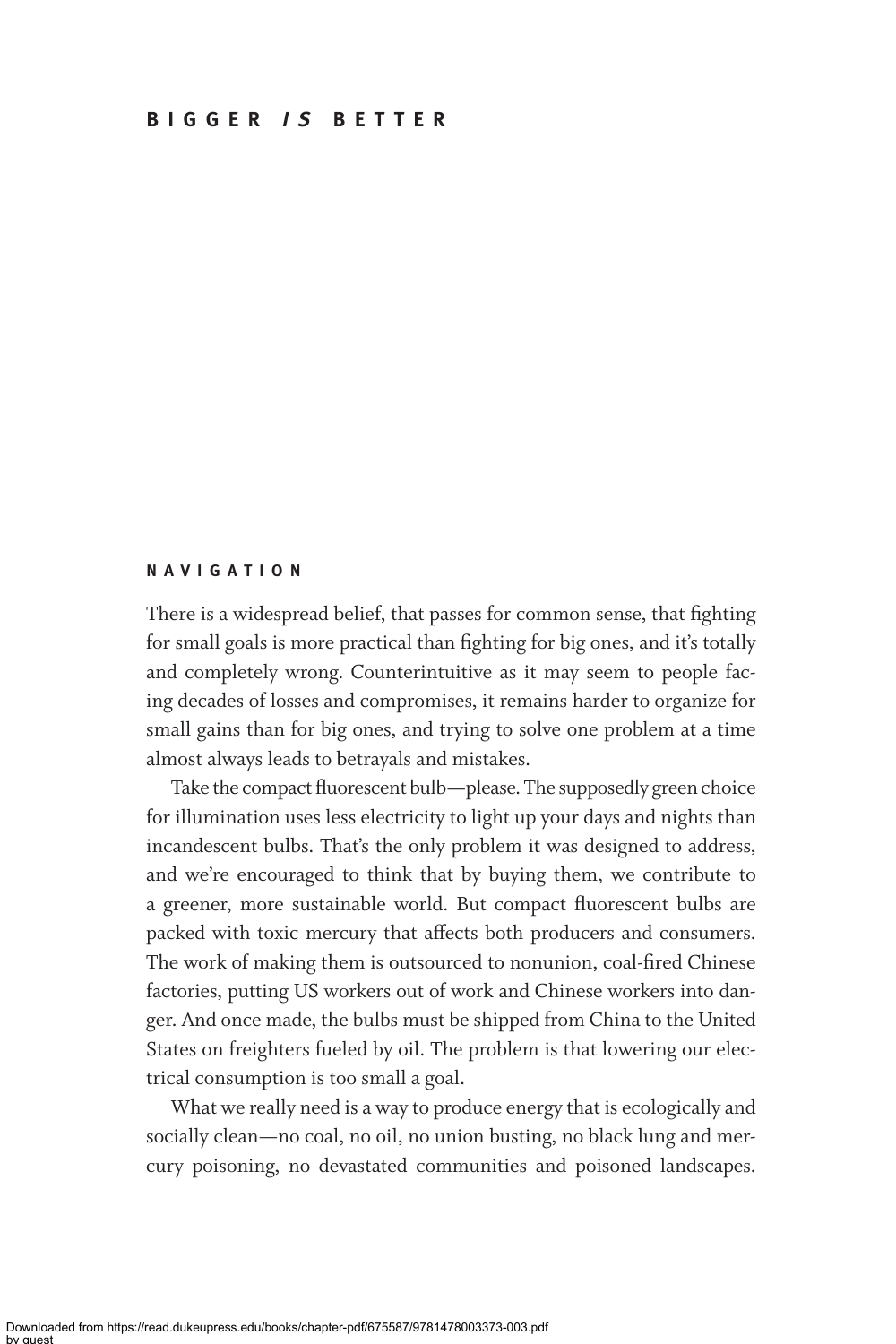### **NAVIGATION**

There is a widespread belief, that passes for common sense, that fighting for small goals is more practical than fighting for big ones, and it's totally and completely wrong. Counterintuitive as it may seem to people facing decades of losses and compromises, it remains harder to organize for small gains than for big ones, and trying to solve one problem at a time almost always leads to betrayals and mistakes.

Take the compact fluorescent bulb—please. The supposedly green choice for illumination uses less electricity to light up your days and nights than incandescent bulbs. That's the only problem it was designed to address, and we're encouraged to think that by buying them, we contribute to a greener, more sustainable world. But compact fluorescent bulbs are packed with toxic mercury that affects both producers and consumers. The work of making them is outsourced to nonunion, coal-fired Chinese factories, putting US workers out of work and Chinese workers into danger. And once made, the bulbs must be shipped from China to the United States on freighters fueled by oil. The problem is that lowering our electrical consumption is too small a goal.

What we really need is a way to produce energy that is ecologically and socially clean—no coal, no oil, no union busting, no black lung and mercury poisoning, no devastated communities and poisoned landscapes.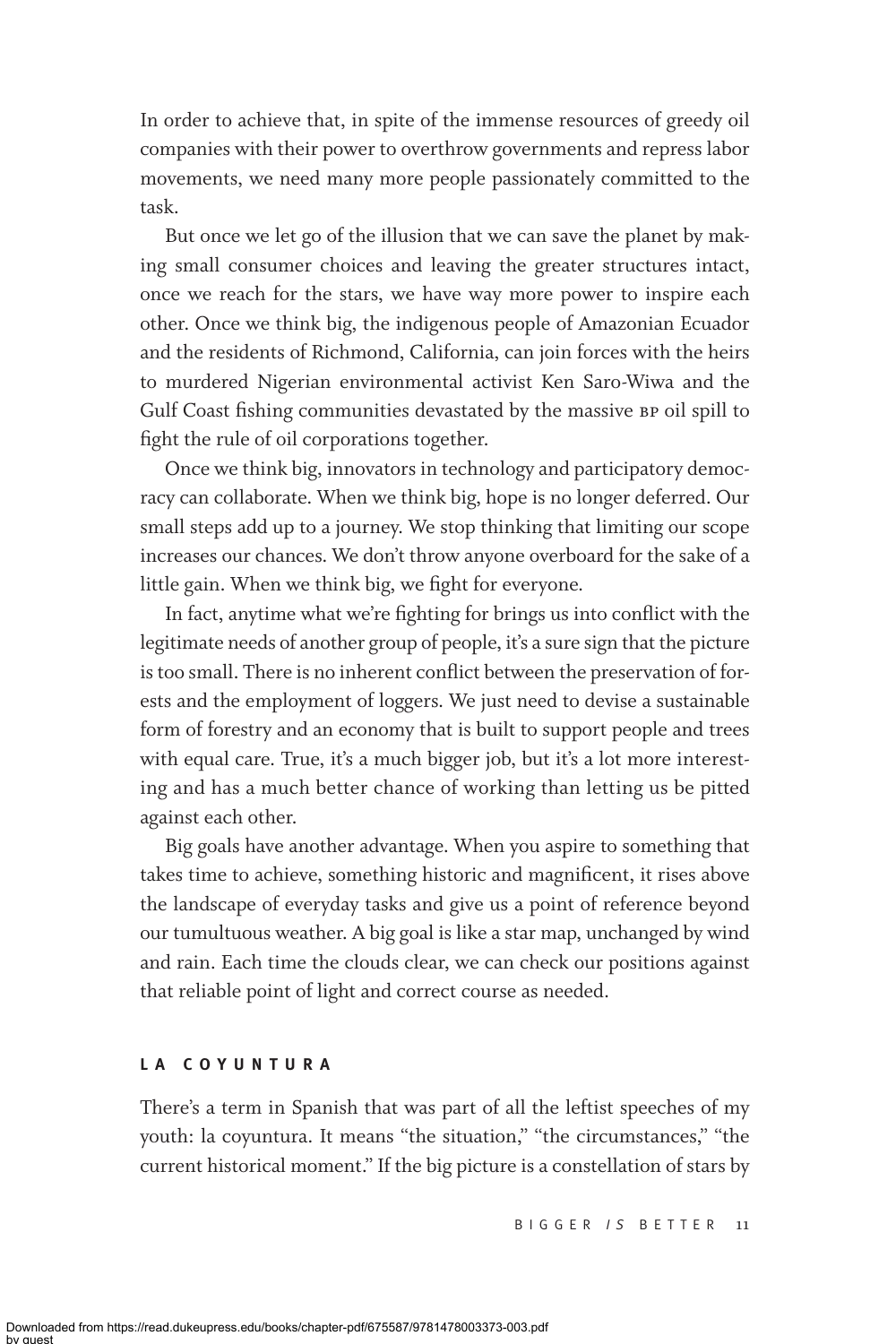In order to achieve that, in spite of the immense resources of greedy oil companies with their power to overthrow governments and repress labor movements, we need many more people passionately committed to the task.

But once we let go of the illusion that we can save the planet by making small consumer choices and leaving the greater structures intact, once we reach for the stars, we have way more power to inspire each other. Once we think big, the indigenous people of Amazonian Ecuador and the residents of Richmond, California, can join forces with the heirs to murdered Nigerian environmental activist Ken Saro-Wiwa and the Gulf Coast fishing communities devastated by the massive bp oil spill to fight the rule of oil corporations together.

Once we think big, innovators in technology and participatory democracy can collaborate. When we think big, hope is no longer deferred. Our small steps add up to a journey. We stop thinking that limiting our scope increases our chances. We don't throw anyone overboard for the sake of a little gain. When we think big, we fight for everyone.

In fact, anytime what we're fighting for brings us into conflict with the legitimate needs of another group of people, it's a sure sign that the picture is too small. There is no inherent conflict between the preservation of forests and the employment of loggers. We just need to devise a sustainable form of forestry and an economy that is built to support people and trees with equal care. True, it's a much bigger job, but it's a lot more interesting and has a much better chance of working than letting us be pitted against each other.

Big goals have another advantage. When you aspire to something that takes time to achieve, something historic and magnificent, it rises above the landscape of everyday tasks and give us a point of reference beyond our tumultuous weather. A big goal is like a star map, unchanged by wind and rain. Each time the clouds clear, we can check our positions against that reliable point of light and correct course as needed.

# **LA COYUNTURA**

There's a term in Spanish that was part of all the leftist speeches of my youth: la coyuntura. It means "the situation," "the circumstances," "the current historical moment." If the big picture is a constellation of stars by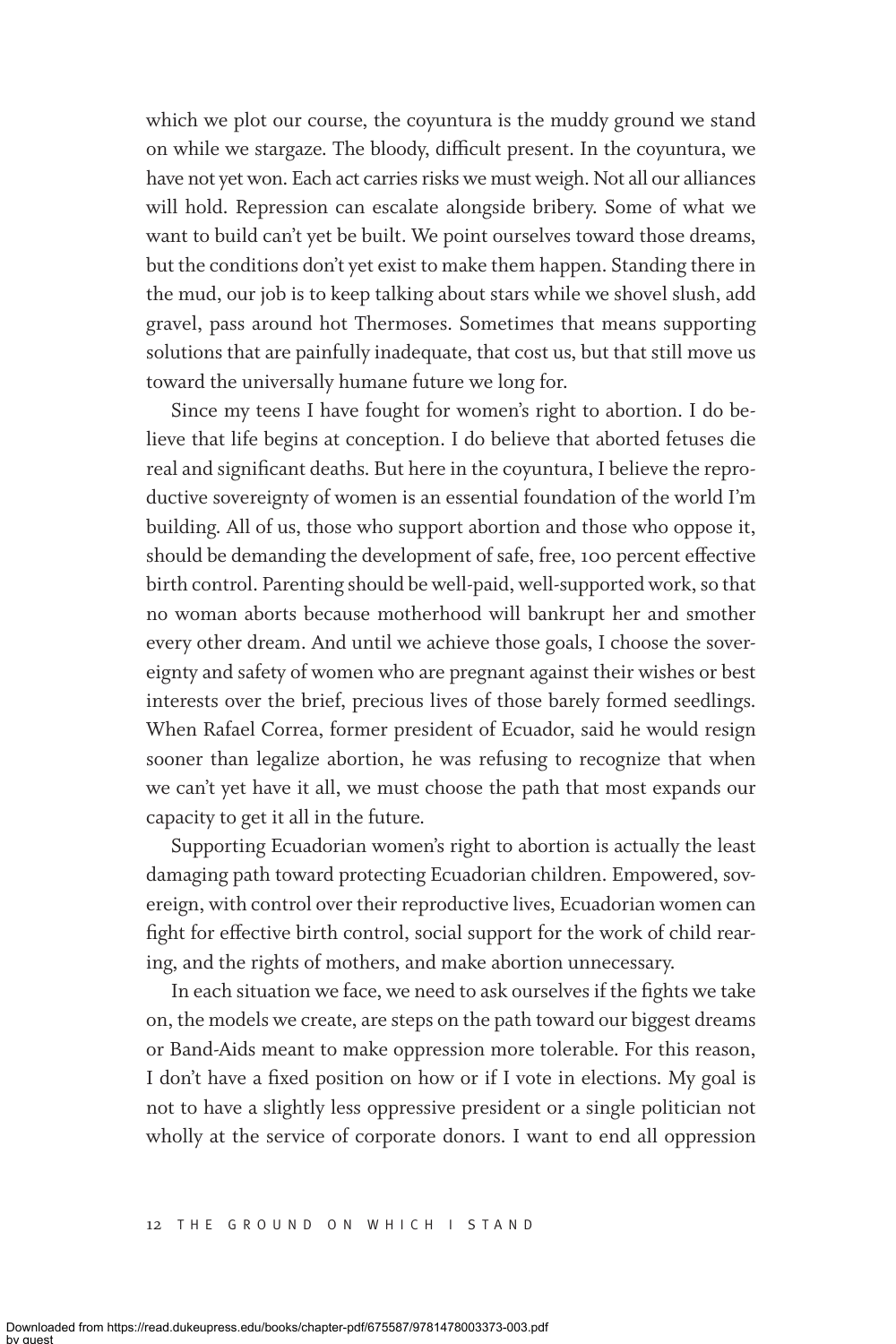which we plot our course, the coyuntura is the muddy ground we stand on while we stargaze. The bloody, difficult present. In the coyuntura, we have not yet won. Each act carries risks we must weigh. Not all our alliances will hold. Repression can escalate alongside bribery. Some of what we want to build can't yet be built. We point ourselves toward those dreams, but the conditions don't yet exist to make them happen. Standing there in the mud, our job is to keep talking about stars while we shovel slush, add gravel, pass around hot Thermoses. Sometimes that means supporting solutions that are painfully inadequate, that cost us, but that still move us toward the universally humane future we long for.

Since my teens I have fought for women's right to abortion. I do believe that life begins at conception. I do believe that aborted fetuses die real and significant deaths. But here in the coyuntura, I believe the reproductive sovereignty of women is an essential foundation of the world I'm building. All of us, those who support abortion and those who oppose it, should be demanding the development of safe, free, 100 percent effective birth control. Parenting should be well-paid, well-supported work, so that no woman aborts because motherhood will bankrupt her and smother every other dream. And until we achieve those goals, I choose the sovereignty and safety of women who are pregnant against their wishes or best interests over the brief, precious lives of those barely formed seedlings. When Rafael Correa, former president of Ecuador, said he would resign sooner than legalize abortion, he was refusing to recognize that when we can't yet have it all, we must choose the path that most expands our capacity to get it all in the future.

Supporting Ecuadorian women's right to abortion is actually the least damaging path toward protecting Ecuadorian children. Empowered, sovereign, with control over their reproductive lives, Ecuadorian women can fight for effective birth control, social support for the work of child rearing, and the rights of mothers, and make abortion unnecessary.

In each situation we face, we need to ask ourselves if the fights we take on, the models we create, are steps on the path toward our biggest dreams or Band-Aids meant to make oppression more tolerable. For this reason, I don't have a fixed position on how or if I vote in elections. My goal is not to have a slightly less oppressive president or a single politician not wholly at the service of corporate donors. I want to end all oppression

12 T he Ground on Which I Stand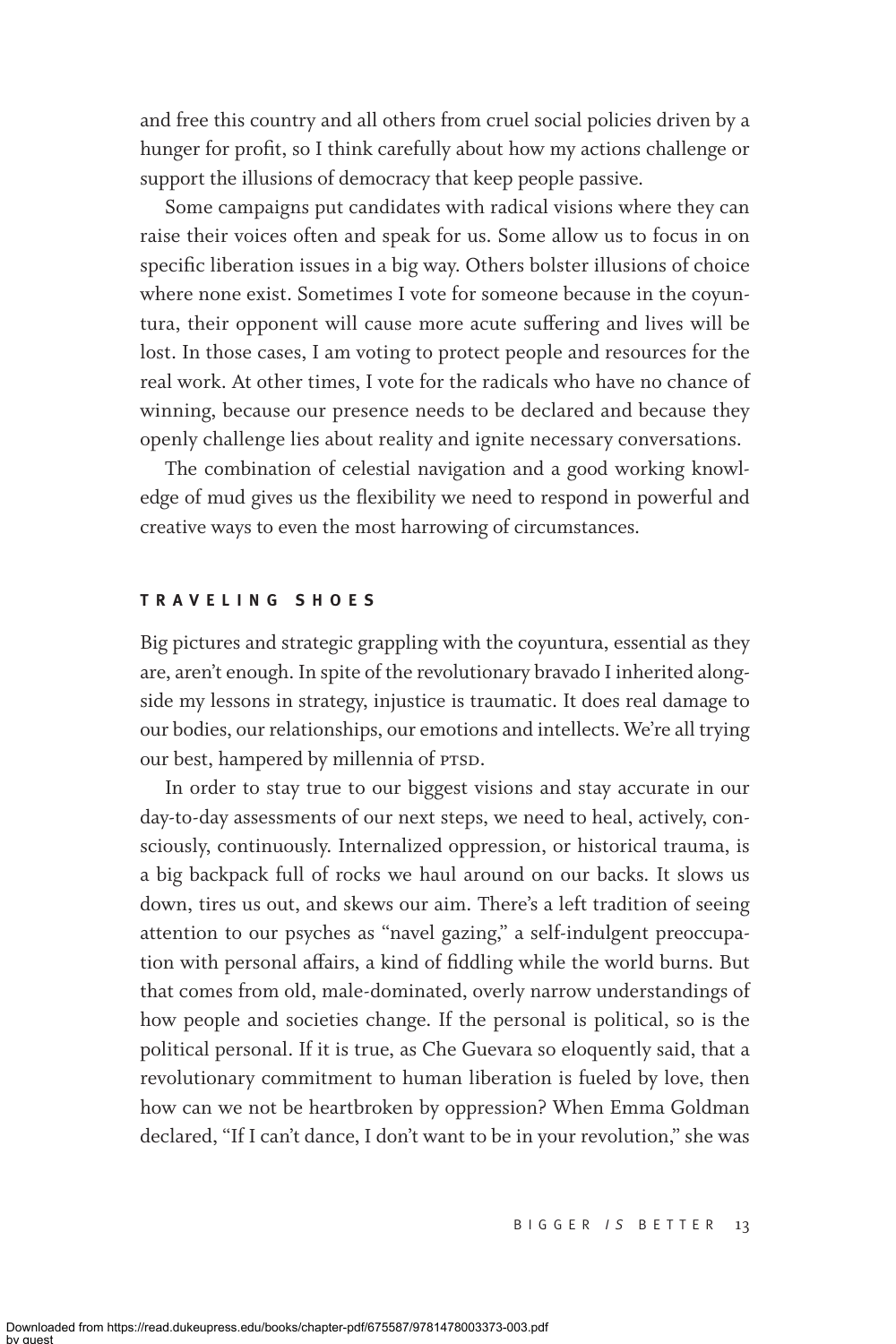and free this country and all others from cruel social policies driven by a hunger for profit, so I think carefully about how my actions challenge or support the illusions of democracy that keep people passive.

Some campaigns put candidates with radical visions where they can raise their voices often and speak for us. Some allow us to focus in on specific liberation issues in a big way. Others bolster illusions of choice where none exist. Sometimes I vote for someone because in the coyuntura, their opponent will cause more acute suffering and lives will be lost. In those cases, I am voting to protect people and resources for the real work. At other times, I vote for the radicals who have no chance of winning, because our presence needs to be declared and because they openly challenge lies about reality and ignite necessary conversations.

The combination of celestial navigation and a good working knowledge of mud gives us the flexibility we need to respond in powerful and creative ways to even the most harrowing of circumstances.

### **TRAVELING SHOES**

Big pictures and strategic grappling with the coyuntura, essential as they are, aren't enough. In spite of the revolutionary bravado I inherited alongside my lessons in strategy, injustice is traumatic. It does real damage to our bodies, our relationships, our emotions and intellects. We're all trying our best, hampered by millennia of PTSD.

In order to stay true to our biggest visions and stay accurate in our day-to-day assessments of our next steps, we need to heal, actively, consciously, continuously. Internalized oppression, or historical trauma, is a big backpack full of rocks we haul around on our backs. It slows us down, tires us out, and skews our aim. There's a left tradition of seeing attention to our psyches as "navel gazing," a self-indulgent preoccupation with personal affairs, a kind of fiddling while the world burns. But that comes from old, male-dominated, overly narrow understandings of how people and societies change. If the personal is political, so is the political personal. If it is true, as Che Guevara so eloquently said, that a revolutionary commitment to human liberation is fueled by love, then how can we not be heartbroken by oppression? When Emma Goldman declared, "If I can't dance, I don't want to be in your revolution," she was

BIGGER / S BETTER 13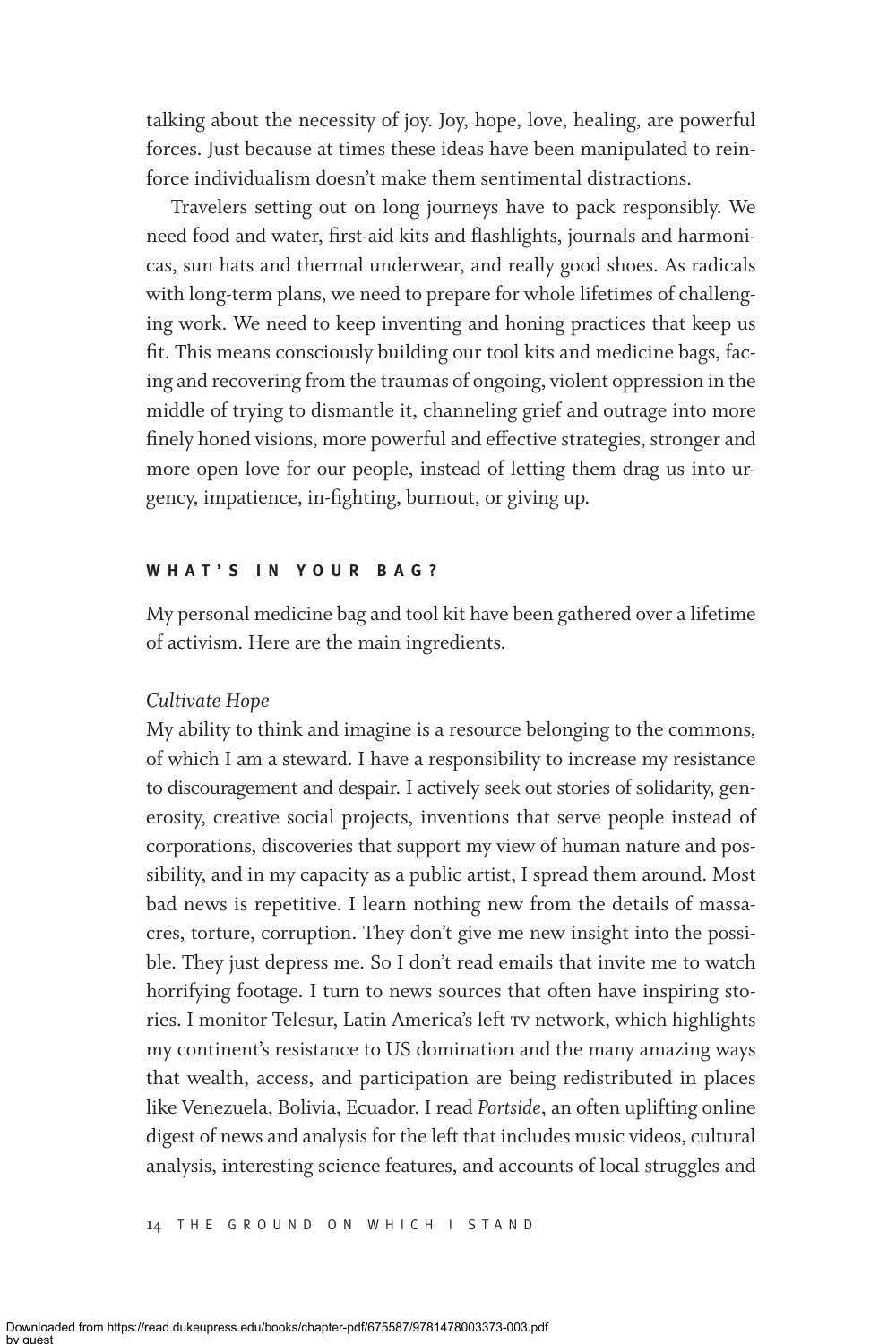talking about the necessity of joy. Joy, hope, love, healing, are powerful forces. Just because at times these ideas have been manipulated to reinforce individualism doesn't make them sentimental distractions.

Travelers setting out on long journeys have to pack responsibly. We need food and water, first-aid kits and flashlights, journals and harmonicas, sun hats and thermal underwear, and really good shoes. As radicals with long-term plans, we need to prepare for whole lifetimes of challenging work. We need to keep inventing and honing practices that keep us fit. This means consciously building our tool kits and medicine bags, facing and recovering from the traumas of ongoing, violent oppression in the middle of trying to dismantle it, channeling grief and outrage into more finely honed visions, more powerful and effective strategies, stronger and more open love for our people, instead of letting them drag us into urgency, impatience, in-fighting, burnout, or giving up.

### **WHAT'S IN YOUR BAG?**

My personal medicine bag and tool kit have been gathered over a lifetime of activism. Here are the main ingredients.

### *Cultivate Hope*

My ability to think and imagine is a resource belonging to the commons, of which I am a steward. I have a responsibility to increase my resistance to discouragement and despair. I actively seek out stories of solidarity, generosity, creative social projects, inventions that serve people instead of corporations, discoveries that support my view of human nature and possibility, and in my capacity as a public artist, I spread them around. Most bad news is repetitive. I learn nothing new from the details of massacres, torture, corruption. They don't give me new insight into the possible. They just depress me. So I don't read emails that invite me to watch horrifying footage. I turn to news sources that often have inspiring stories. I monitor Telesur, Latin America's left tv network, which highlights my continent's resistance to US domination and the many amazing ways that wealth, access, and participation are being redistributed in places like Venezuela, Bolivia, Ecuador. I read *Portside*, an often uplifting online digest of news and analysis for the left that includes music videos, cultural analysis, interesting science features, and accounts of local struggles and

14 THE GROUND ON WHICH I STAND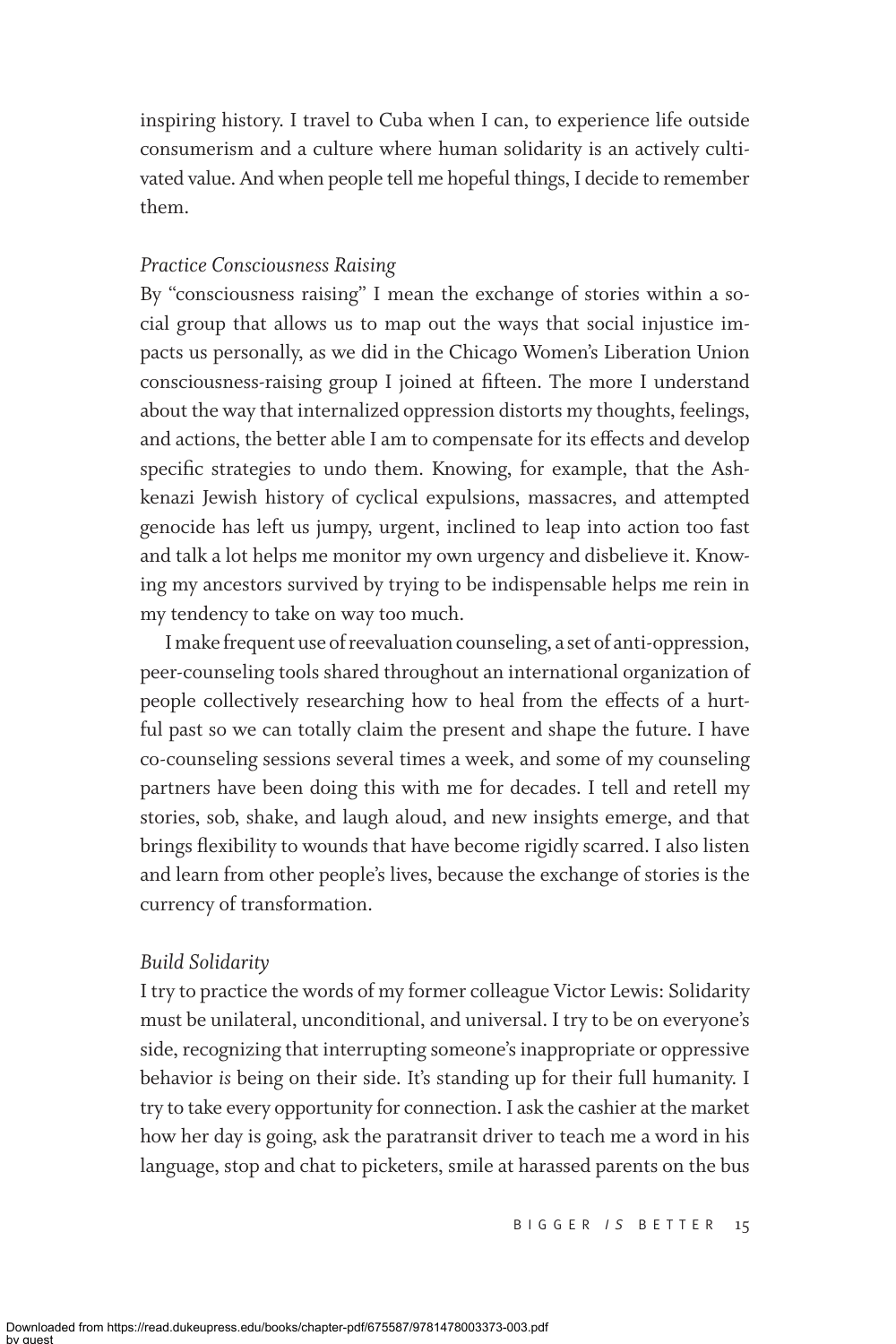inspiring history. I travel to Cuba when I can, to experience life outside consumerism and a culture where human solidarity is an actively cultivated value. And when people tell me hopeful things, I decide to remember them.

# *Practice Consciousness Raising*

By "consciousness raising" I mean the exchange of stories within a social group that allows us to map out the ways that social injustice impacts us personally, as we did in the Chicago Women's Liberation Union consciousness-raising group I joined at fifteen. The more I understand about the way that internalized oppression distorts my thoughts, feelings, and actions, the better able I am to compensate for its effects and develop specific strategies to undo them. Knowing, for example, that the Ashkenazi Jewish history of cyclical expulsions, massacres, and attempted genocide has left us jumpy, urgent, inclined to leap into action too fast and talk a lot helps me monitor my own urgency and disbelieve it. Knowing my ancestors survived by trying to be indispensable helps me rein in my tendency to take on way too much.

I make frequent use of reevaluation counseling, a set of anti-oppression, peer-counseling tools shared throughout an international organization of people collectively researching how to heal from the effects of a hurtful past so we can totally claim the present and shape the future. I have co-counseling sessions several times a week, and some of my counseling partners have been doing this with me for decades. I tell and retell my stories, sob, shake, and laugh aloud, and new insights emerge, and that brings flexibility to wounds that have become rigidly scarred. I also listen and learn from other people's lives, because the exchange of stories is the currency of transformation.

## *Build Solidarity*

I try to practice the words of my former colleague Victor Lewis: Solidarity must be unilateral, unconditional, and universal. I try to be on everyone's side, recognizing that interrupting someone's inappropriate or oppressive behavior *is* being on their side. It's standing up for their full humanity. I try to take every opportunity for connection. I ask the cashier at the market how her day is going, ask the paratransit driver to teach me a word in his language, stop and chat to picketers, smile at harassed parents on the bus

BIGGER / S BETTER 15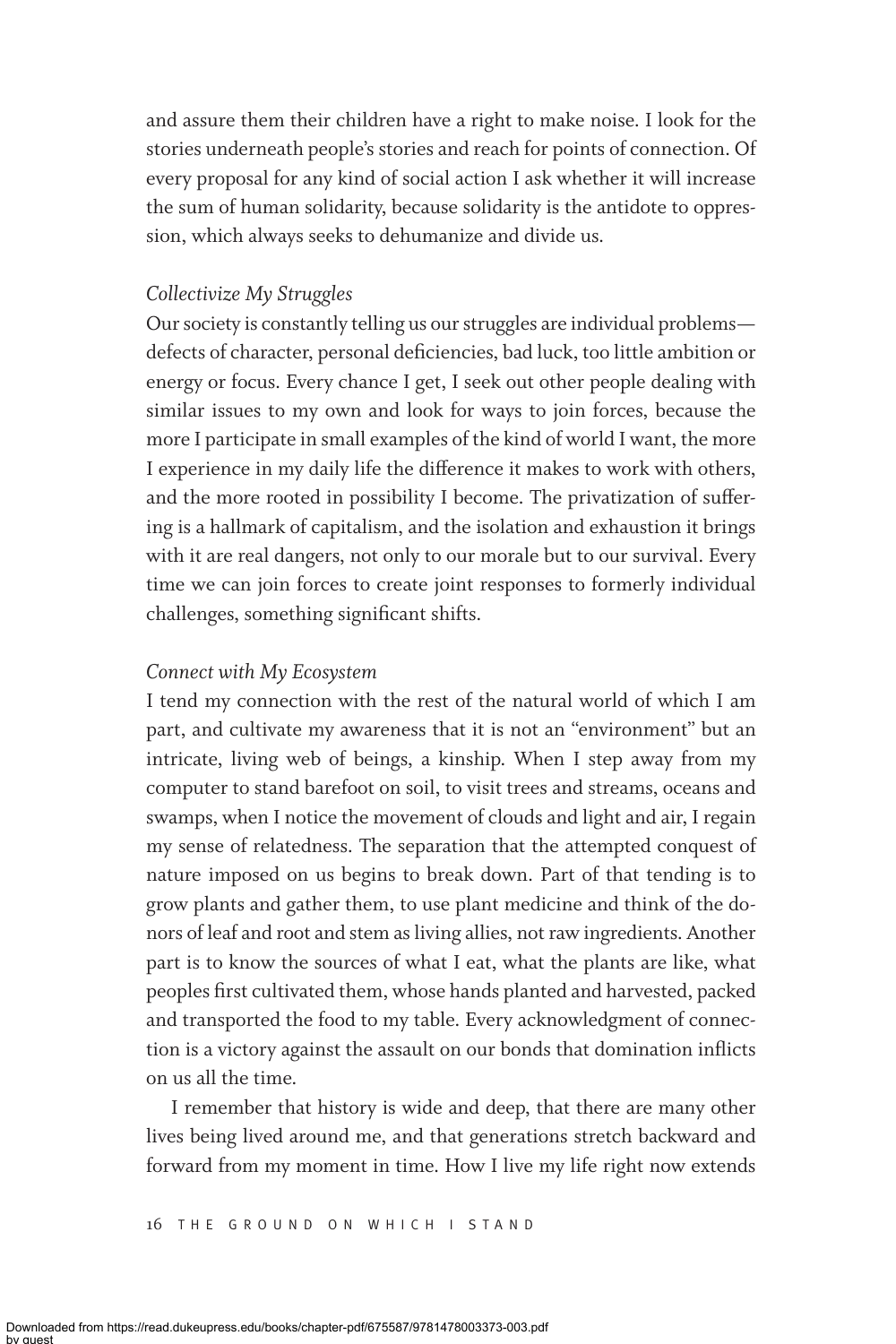and assure them their children have a right to make noise. I look for the stories underneath people's stories and reach for points of connection. Of every proposal for any kind of social action I ask whether it will increase the sum of human solidarity, because solidarity is the antidote to oppression, which always seeks to dehumanize and divide us.

# *Collectivize My Struggles*

Our society is constantly telling us our struggles are individual problems defects of character, personal deficiencies, bad luck, too little ambition or energy or focus. Every chance I get, I seek out other people dealing with similar issues to my own and look for ways to join forces, because the more I participate in small examples of the kind of world I want, the more I experience in my daily life the difference it makes to work with others, and the more rooted in possibility I become. The privatization of suffering is a hallmark of capitalism, and the isolation and exhaustion it brings with it are real dangers, not only to our morale but to our survival. Every time we can join forces to create joint responses to formerly individual challenges, something significant shifts.

# *Connect with My Ecosystem*

I tend my connection with the rest of the natural world of which I am part, and cultivate my awareness that it is not an "environment" but an intricate, living web of beings, a kinship. When I step away from my computer to stand barefoot on soil, to visit trees and streams, oceans and swamps, when I notice the movement of clouds and light and air, I regain my sense of relatedness. The separation that the attempted conquest of nature imposed on us begins to break down. Part of that tending is to grow plants and gather them, to use plant medicine and think of the donors of leaf and root and stem as living allies, not raw ingredients. Another part is to know the sources of what I eat, what the plants are like, what peoples first cultivated them, whose hands planted and harvested, packed and transported the food to my table. Every acknowledgment of connection is a victory against the assault on our bonds that domination inflicts on us all the time.

I remember that history is wide and deep, that there are many other lives being lived around me, and that generations stretch backward and forward from my moment in time. How I live my life right now extends

16 T he Ground on Which I Stand